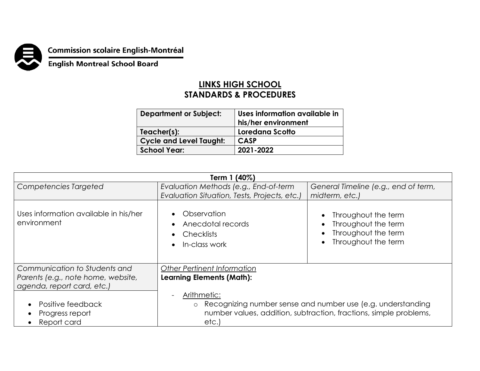

**Commission scolaire English-Montréal<br>English Montreal School Board** 

## **LINKS HIGH SCHOOL STANDARDS & PROCEDURES**

| <b>Department or Subject:</b>  | Uses information available in<br>his/her environment |
|--------------------------------|------------------------------------------------------|
| Teacher(s):                    | Loredana Scotto                                      |
| <b>Cycle and Level Taught:</b> | <b>CASP</b>                                          |
| <b>School Year:</b>            | 2021-2022                                            |
|                                |                                                      |

| Term 1 (40%)                                         |                                                                                                                                                                     |                                                                                          |  |  |  |
|------------------------------------------------------|---------------------------------------------------------------------------------------------------------------------------------------------------------------------|------------------------------------------------------------------------------------------|--|--|--|
| Competencies Targeted                                | Evaluation Methods (e.g., End-of-term                                                                                                                               | General Timeline (e.g., end of term,                                                     |  |  |  |
|                                                      | Evaluation Situation, Tests, Projects, etc.)                                                                                                                        | midterm, etc.)                                                                           |  |  |  |
| Uses information available in his/her<br>environment | Observation<br>Anecdotal records<br><b>Checklists</b><br>In-class work                                                                                              | Throughout the term<br>Throughout the term<br>Throughout the term<br>Throughout the term |  |  |  |
| Communication to Students and                        | Other Pertinent Information                                                                                                                                         |                                                                                          |  |  |  |
| Parents (e.g., note home, website,                   | <b>Learning Elements (Math):</b>                                                                                                                                    |                                                                                          |  |  |  |
| agenda, report card, etc.)                           |                                                                                                                                                                     |                                                                                          |  |  |  |
| Positive feedback<br>Progress report<br>Report card  | Arithmetic:<br>Recognizing number sense and number use (e.g. understanding<br>$\circ$<br>number values, addition, subtraction, fractions, simple problems,<br>etc.) |                                                                                          |  |  |  |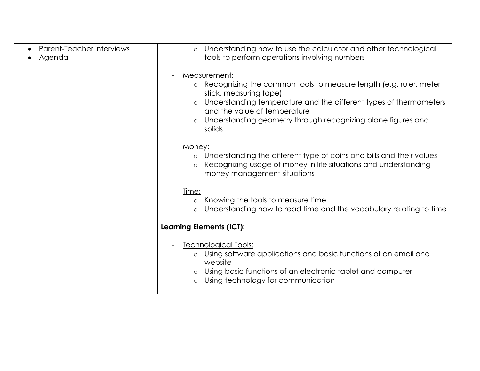| Parent-Teacher interviews<br>Agenda | Understanding how to use the calculator and other technological<br>$\circ$<br>tools to perform operations involving numbers                                                                                                                                                                                      |  |
|-------------------------------------|------------------------------------------------------------------------------------------------------------------------------------------------------------------------------------------------------------------------------------------------------------------------------------------------------------------|--|
|                                     | Measurement:<br>Recognizing the common tools to measure length (e.g. ruler, meter<br>$\circ$<br>stick, measuring tape)<br>Understanding temperature and the different types of thermometers<br>$\circ$<br>and the value of temperature<br>Understanding geometry through recognizing plane figures and<br>solids |  |
|                                     | Money:<br>Understanding the different type of coins and bills and their values<br>$\circ$<br>Recognizing usage of money in life situations and understanding<br>money management situations                                                                                                                      |  |
|                                     | Time:<br>Knowing the tools to measure time<br>$\circ$<br>Understanding how to read time and the vocabulary relating to time<br>$\circ$                                                                                                                                                                           |  |
|                                     | <b>Learning Elements (ICT):</b>                                                                                                                                                                                                                                                                                  |  |
|                                     | <u><b>Technological Tools:</b></u><br>Using software applications and basic functions of an email and<br>$\circ$<br>website<br>Using basic functions of an electronic tablet and computer<br>$\circ$<br>Using technology for communication<br>$\circ$                                                            |  |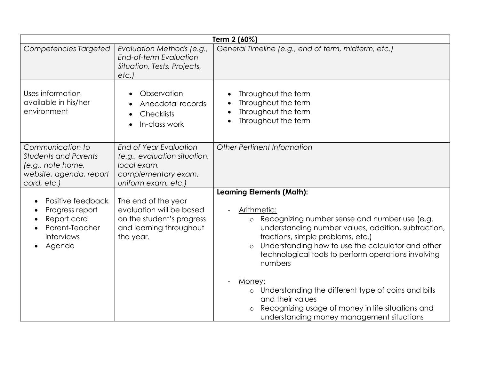| Term 2 (60%)                                                                                                   |                                                                                                                            |                                                                                                                                                                                                                                                                                                                                          |  |
|----------------------------------------------------------------------------------------------------------------|----------------------------------------------------------------------------------------------------------------------------|------------------------------------------------------------------------------------------------------------------------------------------------------------------------------------------------------------------------------------------------------------------------------------------------------------------------------------------|--|
| Competencies Targeted                                                                                          | Evaluation Methods (e.g.,<br><b>End-of-term Evaluation</b><br>Situation, Tests, Projects,<br>etc.                          | General Timeline (e.g., end of term, midterm, etc.)                                                                                                                                                                                                                                                                                      |  |
| Uses information<br>available in his/her<br>environment                                                        | Observation<br>Anecdotal records<br>$\bullet$<br><b>Checklists</b><br>In-class work                                        | Throughout the term<br>Throughout the term<br>Throughout the term<br>$\bullet$<br>Throughout the term<br>$\bullet$                                                                                                                                                                                                                       |  |
| Communication to<br><b>Students and Parents</b><br>(e.g., note home,<br>website, agenda, report<br>card, etc.) | <b>End of Year Evaluation</b><br>(e.g., evaluation situation,<br>local exam,<br>complementary exam,<br>uniform exam, etc.) | Other Pertinent Information                                                                                                                                                                                                                                                                                                              |  |
| Positive feedback<br>Progress report<br>Report card<br>Parent-Teacher<br>interviews<br>Agenda                  | The end of the year<br>evaluation will be based<br>on the student's progress<br>and learning throughout<br>the year.       | <b>Learning Elements (Math):</b><br>Arithmetic:<br>Recognizing number sense and number use (e.g.<br>understanding number values, addition, subtraction,<br>fractions, simple problems, etc.)<br>Understanding how to use the calculator and other<br>$\circ$<br>technological tools to perform operations involving<br>numbers<br>Money: |  |
|                                                                                                                |                                                                                                                            | Understanding the different type of coins and bills<br>$\circ$<br>and their values<br>Recognizing usage of money in life situations and<br>understanding money management situations                                                                                                                                                     |  |